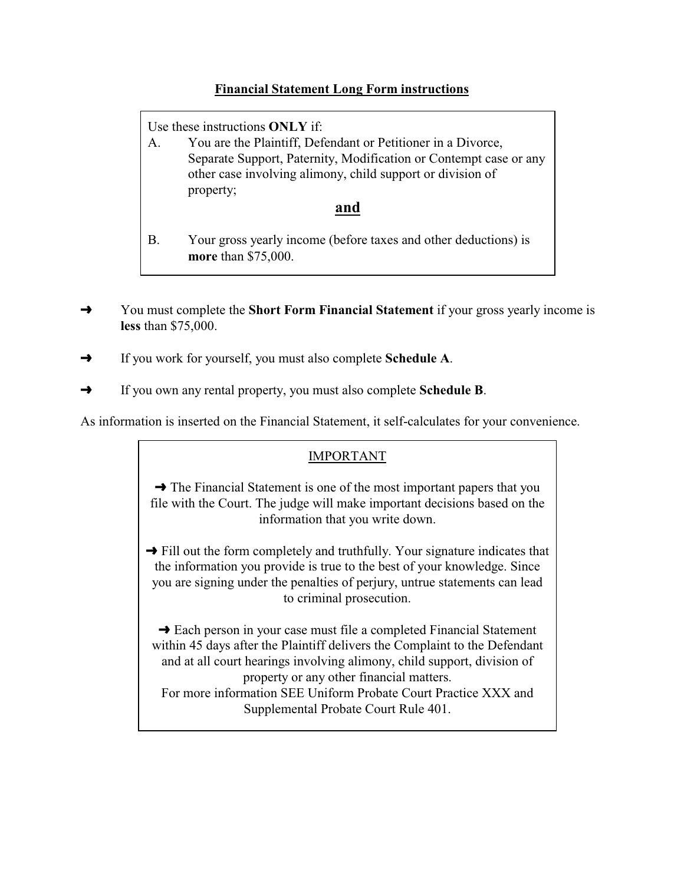## **Financial Statement Long Form instructions**

Use these instructions **ONLY** if: A. You are the Plaintiff, Defendant or Petitioner in a Divorce, Separate Support, Paternity, Modification or Contempt case or any other case involving alimony, child support or division of property; **and** B. Your gross yearly income (before taxes and other deductions) is **more** than \$75,000.

- → You must complete the **Short Form Financial Statement** if your gross yearly income is **less** than \$75,000.
- $\rightarrow$  If you work for yourself, you must also complete **Schedule A**.
- º If you own any rental property, you must also complete **Schedule B**.

As information is inserted on the Financial Statement, it self-calculates for your convenience.

## IMPORTANT

 $\rightarrow$  The Financial Statement is one of the most important papers that you file with the Court. The judge will make important decisions based on the information that you write down.

 $\rightarrow$  Fill out the form completely and truthfully. Your signature indicates that the information you provide is true to the best of your knowledge. Since you are signing under the penalties of perjury, untrue statements can lead to criminal prosecution.

 $\rightarrow$  Each person in your case must file a completed Financial Statement within 45 days after the Plaintiff delivers the Complaint to the Defendant and at all court hearings involving alimony, child support, division of property or any other financial matters. For more information SEE Uniform Probate Court Practice XXX and Supplemental Probate Court Rule 401.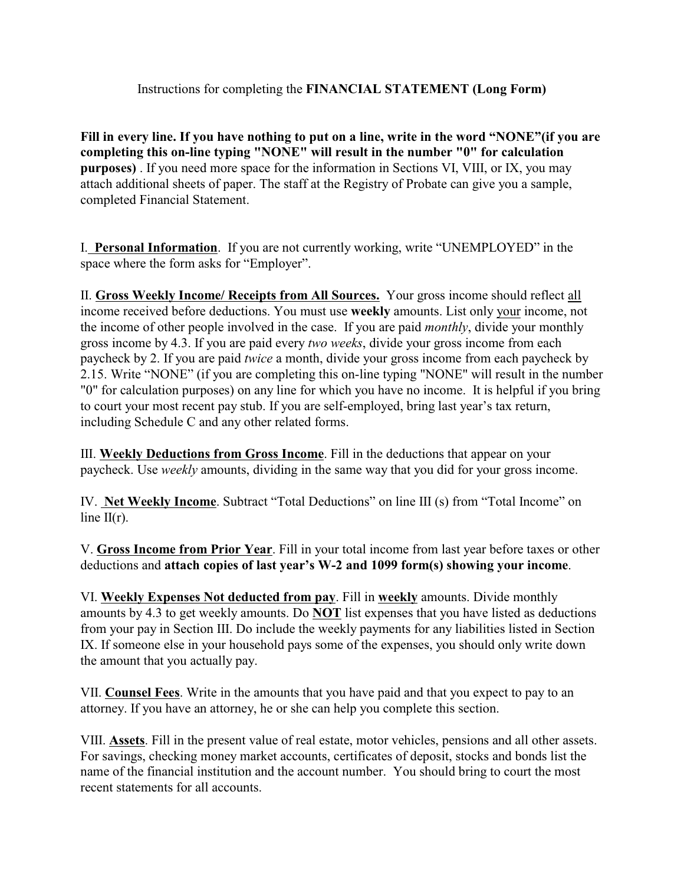## Instructions for completing the **FINANCIAL STATEMENT (Long Form)**

**Fill in every line. If you have nothing to put on a line, write in the word "NONE"(if you are completing this on-line typing "NONE" will result in the number "0" for calculation purposes)** . If you need more space for the information in Sections VI, VIII, or IX, you may attach additional sheets of paper. The staff at the Registry of Probate can give you a sample, completed Financial Statement.

I. **Personal Information**. If you are not currently working, write "UNEMPLOYED" in the space where the form asks for "Employer".

II. **Gross Weekly Income/ Receipts from All Sources.** Your gross income should reflect all income received before deductions. You must use **weekly** amounts. List only your income, not the income of other people involved in the case. If you are paid *monthly*, divide your monthly gross income by 4.3. If you are paid every *two weeks*, divide your gross income from each paycheck by 2. If you are paid *twice* a month, divide your gross income from each paycheck by 2.15. Write "NONE" (if you are completing this on-line typing "NONE" will result in the number "0" for calculation purposes) on any line for which you have no income. It is helpful if you bring to court your most recent pay stub. If you are self-employed, bring last year's tax return, including Schedule C and any other related forms.

III. **Weekly Deductions from Gross Income**. Fill in the deductions that appear on your paycheck. Use *weekly* amounts, dividing in the same way that you did for your gross income.

IV. **Net Weekly Income**. Subtract "Total Deductions" on line III (s) from "Total Income" on line  $II(r)$ .

V. **Gross Income from Prior Year**. Fill in your total income from last year before taxes or other deductions and **attach copies of last year's W-2 and 1099 form(s) showing your income**.

VI. **Weekly Expenses Not deducted from pay**. Fill in **weekly** amounts. Divide monthly amounts by 4.3 to get weekly amounts. Do **NOT** list expenses that you have listed as deductions from your pay in Section III. Do include the weekly payments for any liabilities listed in Section IX. If someone else in your household pays some of the expenses, you should only write down the amount that you actually pay.

VII. **Counsel Fees**. Write in the amounts that you have paid and that you expect to pay to an attorney. If you have an attorney, he or she can help you complete this section.

VIII. **Assets**. Fill in the present value of real estate, motor vehicles, pensions and all other assets. For savings, checking money market accounts, certificates of deposit, stocks and bonds list the name of the financial institution and the account number. You should bring to court the most recent statements for all accounts.